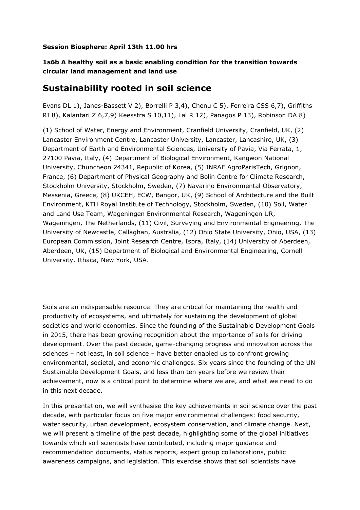## **Session Biosphere: April 13th 11.00 hrs**

## **1s6b A healthy soil as a basic enabling condition for the transition towards circular land management and land use**

## **Sustainability rooted in soil science**

Evans DL 1), Janes-Bassett V 2), Borrelli P 3,4), Chenu C 5), Ferreira CSS 6,7), Griffiths RI 8), Kalantari Z 6,7,9) Keesstra S 10,11), Lal R 12), Panagos P 13), Robinson DA 8)

(1) School of Water, Energy and Environment, Cranfield University, Cranfield, UK, (2) Lancaster Environment Centre, Lancaster University, Lancaster, Lancashire, UK, (3) Department of Earth and Environmental Sciences, University of Pavia, Via Ferrata, 1, 27100 Pavia, Italy, (4) Department of Biological Environment, Kangwon National University, Chuncheon 24341, Republic of Korea, (5) INRAE AgroParisTech, Grignon, France, (6) Department of Physical Geography and Bolin Centre for Climate Research, Stockholm University, Stockholm, Sweden, (7) Navarino Environmental Observatory, Messenia, Greece, (8) UKCEH, ECW, Bangor, UK, (9) School of Architecture and the Built Environment, KTH Royal Institute of Technology, Stockholm, Sweden, (10) Soil, Water and Land Use Team, Wageningen Environmental Research, Wageningen UR, Wageningen, The Netherlands, (11) Civil, Surveying and Environmental Engineering, The University of Newcastle, Callaghan, Australia, (12) Ohio State University, Ohio, USA, (13) European Commission, Joint Research Centre, Ispra, Italy, (14) University of Aberdeen, Aberdeen, UK, (15) Department of Biological and Environmental Engineering, Cornell University, Ithaca, New York, USA.

Soils are an indispensable resource. They are critical for maintaining the health and productivity of ecosystems, and ultimately for sustaining the development of global societies and world economies. Since the founding of the Sustainable Development Goals in 2015, there has been growing recognition about the importance of soils for driving development. Over the past decade, game-changing progress and innovation across the sciences – not least, in soil science – have better enabled us to confront growing environmental, societal, and economic challenges. Six years since the founding of the UN Sustainable Development Goals, and less than ten years before we review their achievement, now is a critical point to determine where we are, and what we need to do in this next decade.

In this presentation, we will synthesise the key achievements in soil science over the past decade, with particular focus on five major environmental challenges: food security, water security, urban development, ecosystem conservation, and climate change. Next, we will present a timeline of the past decade, highlighting some of the global initiatives towards which soil scientists have contributed, including major guidance and recommendation documents, status reports, expert group collaborations, public awareness campaigns, and legislation. This exercise shows that soil scientists have